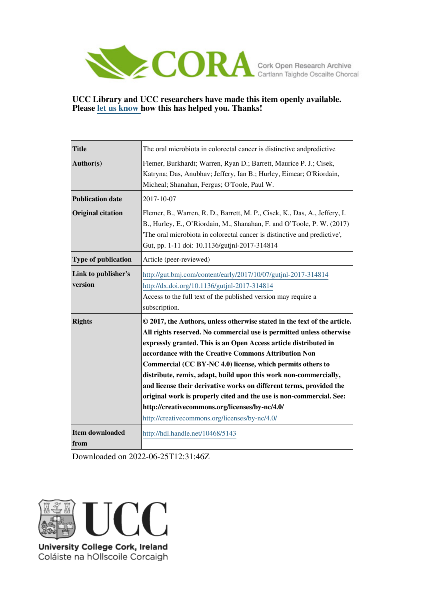

## **UCC Library and UCC researchers have made this item openly available. Please [let us know h](https://libguides.ucc.ie/openaccess/impact?suffix=5143&title=The oral microbiota in colorectal cancer is distinctive andpredictive)ow this has helped you. Thanks!**

| <b>Title</b>                   | The oral microbiota in colorectal cancer is distinctive and predictive                                                                                                                                                                                                                                                                                                                                                                                                                                                                                                                                                                                           |  |  |  |
|--------------------------------|------------------------------------------------------------------------------------------------------------------------------------------------------------------------------------------------------------------------------------------------------------------------------------------------------------------------------------------------------------------------------------------------------------------------------------------------------------------------------------------------------------------------------------------------------------------------------------------------------------------------------------------------------------------|--|--|--|
| Author(s)                      | Flemer, Burkhardt; Warren, Ryan D.; Barrett, Maurice P. J.; Cisek,<br>Katryna; Das, Anubhav; Jeffery, Ian B.; Hurley, Eimear; O'Riordain,<br>Micheal; Shanahan, Fergus; O'Toole, Paul W.                                                                                                                                                                                                                                                                                                                                                                                                                                                                         |  |  |  |
| <b>Publication date</b>        | 2017-10-07                                                                                                                                                                                                                                                                                                                                                                                                                                                                                                                                                                                                                                                       |  |  |  |
| <b>Original citation</b>       | Flemer, B., Warren, R. D., Barrett, M. P., Cisek, K., Das, A., Jeffery, I.<br>B., Hurley, E., O'Riordain, M., Shanahan, F. and O'Toole, P. W. (2017)<br>The oral microbiota in colorectal cancer is distinctive and predictive',<br>Gut, pp. 1-11 doi: 10.1136/gutjnl-2017-314814                                                                                                                                                                                                                                                                                                                                                                                |  |  |  |
| Type of publication            | Article (peer-reviewed)                                                                                                                                                                                                                                                                                                                                                                                                                                                                                                                                                                                                                                          |  |  |  |
| Link to publisher's<br>version | http://gut.bmj.com/content/early/2017/10/07/gutjnl-2017-314814<br>http://dx.doi.org/10.1136/gutjnl-2017-314814<br>Access to the full text of the published version may require a<br>subscription.                                                                                                                                                                                                                                                                                                                                                                                                                                                                |  |  |  |
| <b>Rights</b>                  | © 2017, the Authors, unless otherwise stated in the text of the article.<br>All rights reserved. No commercial use is permitted unless otherwise<br>expressly granted. This is an Open Access article distributed in<br>accordance with the Creative Commons Attribution Non<br>Commercial (CC BY-NC 4.0) license, which permits others to<br>distribute, remix, adapt, build upon this work non-commercially,<br>and license their derivative works on different terms, provided the<br>original work is properly cited and the use is non-commercial. See:<br>http://creativecommons.org/licenses/by-nc/4.0/<br>http://creativecommons.org/licenses/by-nc/4.0/ |  |  |  |
| <b>Item downloaded</b><br>from | http://hdl.handle.net/10468/5143                                                                                                                                                                                                                                                                                                                                                                                                                                                                                                                                                                                                                                 |  |  |  |

Downloaded on 2022-06-25T12:31:46Z



Coláiste na hOllscoile Corcaigh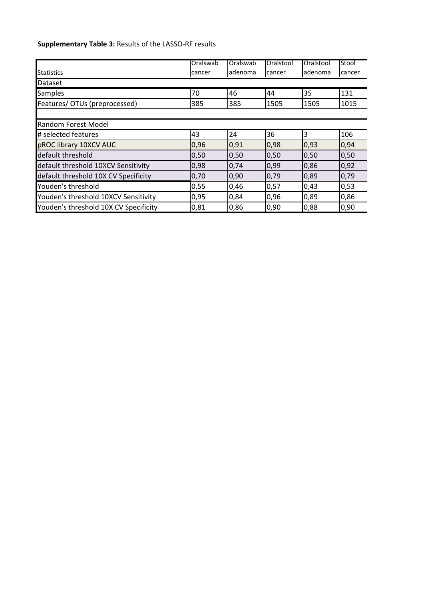## **Supplementary Table 3:** Results of the LASSO-RF results

|                                       | Oralswab | Oralswab | Oralstool | Oralstool | Stool  |
|---------------------------------------|----------|----------|-----------|-----------|--------|
| <b>Statistics</b>                     | cancer   | adenoma  | cancer    | ladenoma  | cancer |
| Dataset                               |          |          |           |           |        |
| <b>Samples</b>                        | 70       | 46       | 44        | 35        | 131    |
| Features/ OTUs (preprocessed)         | 385      | 385      | 1505      | 1505      | 1015   |
|                                       |          |          |           |           |        |
| Random Forest Model                   |          |          |           |           |        |
| # selected features                   | 43       | 24       | 36        | 3         | 106    |
| pROC library 10XCV AUC                | 0,96     | 0,91     | 0,98      | 0,93      | 0,94   |
| default threshold                     | 0,50     | 0,50     | 0,50      | 0,50      | 0,50   |
| default threshold 10XCV Sensitivity   | 0,98     | 0,74     | 0,99      | 0,86      | 0,92   |
| default threshold 10X CV Specificity  | 0,70     | 0,90     | 0,79      | 0,89      | 0,79   |
| Youden's threshold                    | 0,55     | 0,46     | 0,57      | 0,43      | 0,53   |
| Youden's threshold 10XCV Sensitivity  | 0,95     | 0,84     | 0,96      | 0,89      | 0,86   |
| Youden's threshold 10X CV Specificity | 0,81     | 0,86     | 0,90      | 0,88      | 0,90   |